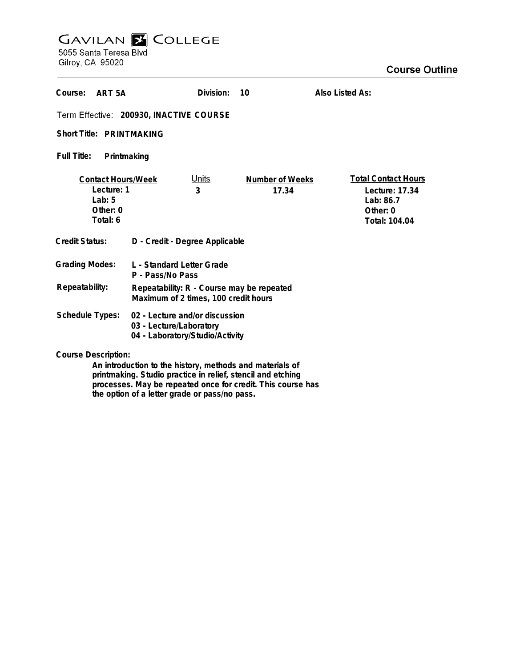# **GAVILAN E COLLEGE**<br>5055 Santa Teresa Blvd

Gilroy, CA 95020

| Course:<br>ART <sub>5</sub> A                                               |                                                                                              | Division:         | 10                       | Also Listed As: |                                                                                          |
|-----------------------------------------------------------------------------|----------------------------------------------------------------------------------------------|-------------------|--------------------------|-----------------|------------------------------------------------------------------------------------------|
| Term Effective: 200930, INACTIVE COURSE                                     |                                                                                              |                   |                          |                 |                                                                                          |
| Short Title: PRINTMAKING                                                    |                                                                                              |                   |                          |                 |                                                                                          |
| <b>Full Title:</b><br>Printmaking                                           |                                                                                              |                   |                          |                 |                                                                                          |
| <b>Contact Hours/Week</b><br>Lecture: 1<br>Lab: $5$<br>Other: 0<br>Total: 6 |                                                                                              | <u>Units</u><br>3 | Number of Weeks<br>17.34 |                 | <b>Total Contact Hours</b><br>Lecture: 17.34<br>Lab: $86.7$<br>Other: 0<br>Total: 104.04 |
| Credit Status:                                                              | D - Credit - Degree Applicable                                                               |                   |                          |                 |                                                                                          |
| <b>Grading Modes:</b>                                                       | L - Standard Letter Grade<br>P - Pass/No Pass                                                |                   |                          |                 |                                                                                          |
| Repeatability:                                                              | Repeatability: R - Course may be repeated<br>Maximum of 2 times, 100 credit hours            |                   |                          |                 |                                                                                          |
| Schedule Types:                                                             | 02 - Lecture and/or discussion<br>03 - Lecture/Laboratory<br>04 - Laboratory/Studio/Activity |                   |                          |                 |                                                                                          |
| <b>Course Description:</b>                                                  |                                                                                              |                   |                          |                 |                                                                                          |

**An introduction to the history, methods and materials of printmaking. Studio practice in relief, stencil and etching processes. May be repeated once for credit. This course has the option of a letter grade or pass/no pass.**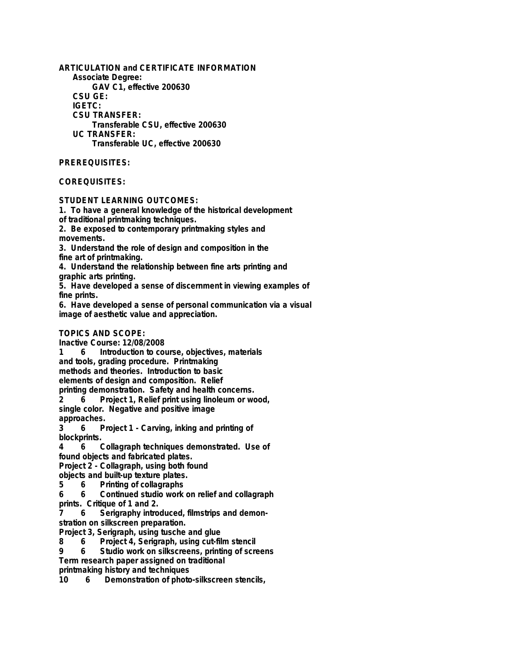**ARTICULATION and CERTIFICATE INFORMATION Associate Degree: GAV C1, effective 200630 CSU GE: IGETC: CSU TRANSFER: Transferable CSU, effective 200630 UC TRANSFER: Transferable UC, effective 200630**

## **PREREQUISITES:**

## **COREQUISITES:**

#### **STUDENT LEARNING OUTCOMES:**

**1. To have a general knowledge of the historical development**

**of traditional printmaking techniques.**

**2. Be exposed to contemporary printmaking styles and movements.**

**3. Understand the role of design and composition in the fine art of printmaking.**

**4. Understand the relationship between fine arts printing and graphic arts printing.**

**5. Have developed a sense of discernment in viewing examples of fine prints.**

**6. Have developed a sense of personal communication via a visual image of aesthetic value and appreciation.**

### **TOPICS AND SCOPE:**

**Inactive Course: 12/08/2008**

Introduction to course, objectives, materials **and tools, grading procedure. Printmaking**

**methods and theories. Introduction to basic**

**elements of design and composition. Relief printing demonstration. Safety and health concerns.**

**2 6 Project 1, Relief print using linoleum or wood, single color. Negative and positive image**

**approaches.**

**3 6 Project 1 - Carving, inking and printing of blockprints.**

**4 6 Collagraph techniques demonstrated. Use of found objects and fabricated plates.**

**Project 2 - Collagraph, using both found**

**objects and built-up texture plates.**

**5 6 Printing of collagraphs**

**6 6 Continued studio work on relief and collagraph prints. Critique of 1 and 2.**

**7 6 Serigraphy introduced, filmstrips and demonstration on silkscreen preparation.**

**Project 3, Serigraph, using tusche and glue**

**8 6 Project 4, Serigraph, using cut-film stencil**

**9 6 Studio work on silkscreens, printing of screens Term research paper assigned on traditional**

**printmaking history and techniques**

**10 6 Demonstration of photo-silkscreen stencils,**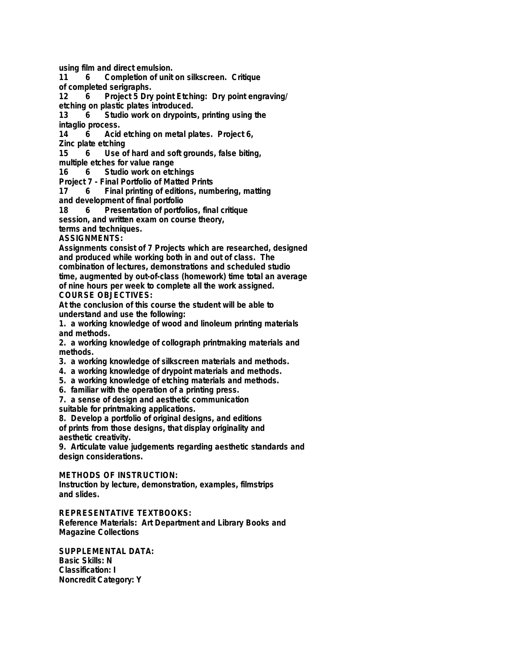**using film and direct emulsion.**

**11 6 Completion of unit on silkscreen. Critique**

**of completed serigraphs.**

**12 6 Project 5 Dry point Etching: Dry point engraving/ etching on plastic plates introduced.**

**13 6 Studio work on drypoints, printing using the intaglio process.**

**14 6 Acid etching on metal plates. Project 6, Zinc plate etching**

**15 6 Use of hard and soft grounds, false biting,**

**multiple etches for value range**

**16 6 Studio work on etchings**

**Project 7 - Final Portfolio of Matted Prints**

**17 6 Final printing of editions, numbering, matting and development of final portfolio**

**18 6 Presentation of portfolios, final critique**

**session, and written exam on course theory,**

**terms and techniques.**

**ASSIGNMENTS:**

**Assignments consist of 7 Projects which are researched, designed and produced while working both in and out of class. The combination of lectures, demonstrations and scheduled studio time, augmented by out-of-class (homework) time total an average of nine hours per week to complete all the work assigned. COURSE OBJECTIVES:**

**At the conclusion of this course the student will be able to understand and use the following:**

**1. a working knowledge of wood and linoleum printing materials and methods.**

**2. a working knowledge of collograph printmaking materials and methods.**

- **3. a working knowledge of silkscreen materials and methods.**
- **4. a working knowledge of drypoint materials and methods.**
- **5. a working knowledge of etching materials and methods.**

**6. familiar with the operation of a printing press.**

**7. a sense of design and aesthetic communication**

**suitable for printmaking applications.**

**8. Develop a portfolio of original designs, and editions of prints from those designs, that display originality and aesthetic creativity.**

**9. Articulate value judgements regarding aesthetic standards and design considerations.**

**METHODS OF INSTRUCTION:**

**Instruction by lecture, demonstration, examples, filmstrips and slides.**

**REPRESENTATIVE TEXTBOOKS: Reference Materials: Art Department and Library Books and Magazine Collections**

**SUPPLEMENTAL DATA: Basic Skills: N Classification: I Noncredit Category: Y**